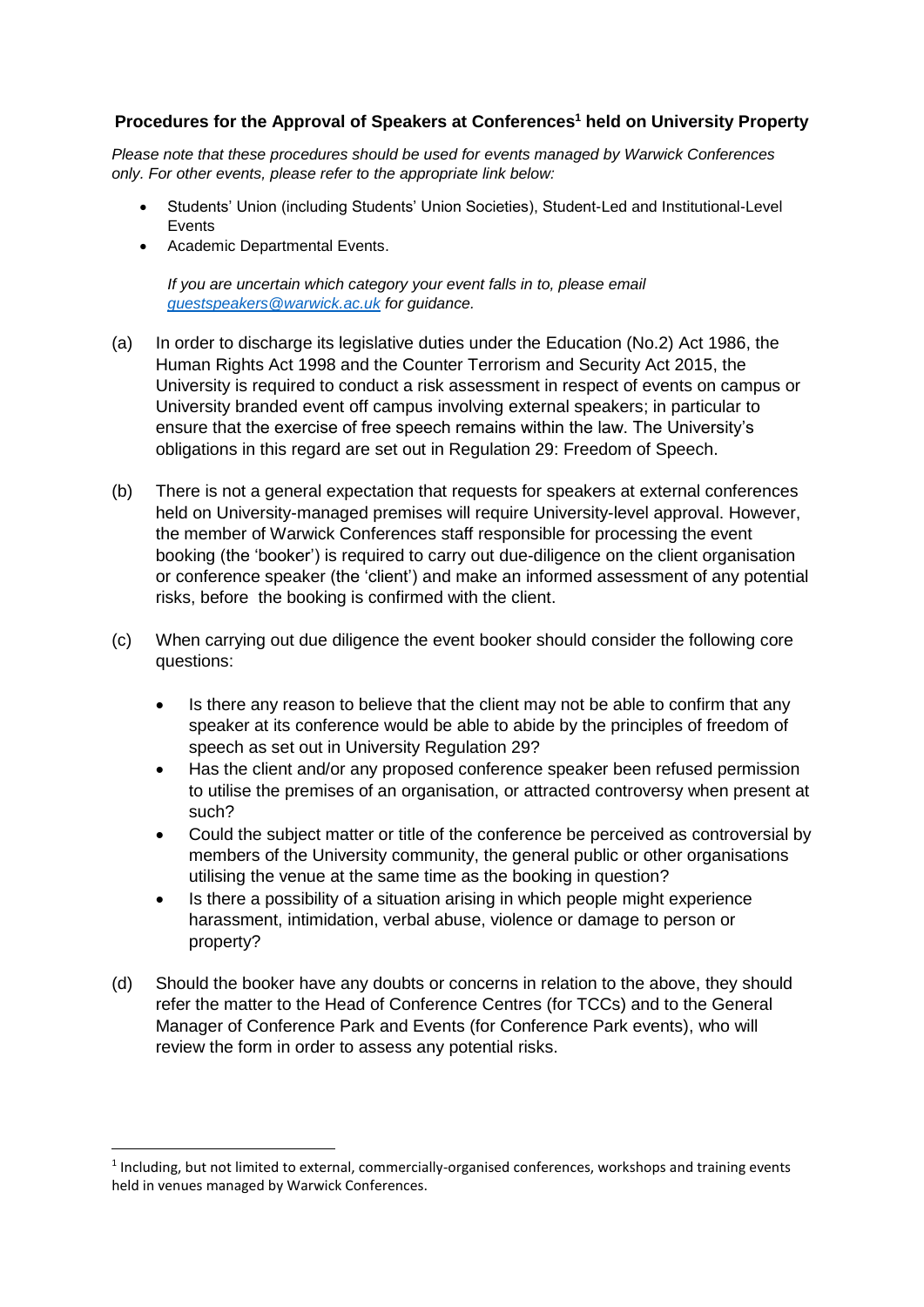## **Procedures for the Approval of Speakers at Conferences<sup>1</sup> held on University Property**

*Please note that these procedures should be used for events managed by Warwick Conferences only. For other events, please refer to the appropriate link below:*

- Students' Union (including Students' Union Societies), Student-Led and Institutional-Level Events
- Academic Departmental Events.

**.** 

*If you are uncertain which category your event falls in to, please email [guestspeakers@warwick.ac.uk](mailto:guestspeakers@warwick.ac.uk) for guidance.*

- (a) In order to discharge its legislative duties under the Education (No.2) Act 1986, the Human Rights Act 1998 and the Counter Terrorism and Security Act 2015, the University is required to conduct a risk assessment in respect of events on campus or University branded event off campus involving external speakers; in particular to ensure that the exercise of free speech remains within the law. The University's obligations in this regard are set out in Regulation 29: Freedom of Speech.
- (b) There is not a general expectation that requests for speakers at external conferences held on University-managed premises will require University-level approval. However, the member of Warwick Conferences staff responsible for processing the event booking (the 'booker') is required to carry out due-diligence on the client organisation or conference speaker (the 'client') and make an informed assessment of any potential risks, before the booking is confirmed with the client.
- (c) When carrying out due diligence the event booker should consider the following core questions:
	- Is there any reason to believe that the client may not be able to confirm that any speaker at its conference would be able to abide by the principles of freedom of speech as set out in University Regulation 29?
	- Has the client and/or any proposed conference speaker been refused permission to utilise the premises of an organisation, or attracted controversy when present at such?
	- Could the subject matter or title of the conference be perceived as controversial by members of the University community, the general public or other organisations utilising the venue at the same time as the booking in question?
	- Is there a possibility of a situation arising in which people might experience harassment, intimidation, verbal abuse, violence or damage to person or property?
- (d) Should the booker have any doubts or concerns in relation to the above, they should refer the matter to the Head of Conference Centres (for TCCs) and to the General Manager of Conference Park and Events (for Conference Park events), who will review the form in order to assess any potential risks.

<sup>&</sup>lt;sup>1</sup> Including, but not limited to external, commercially-organised conferences, workshops and training events held in venues managed by Warwick Conferences.